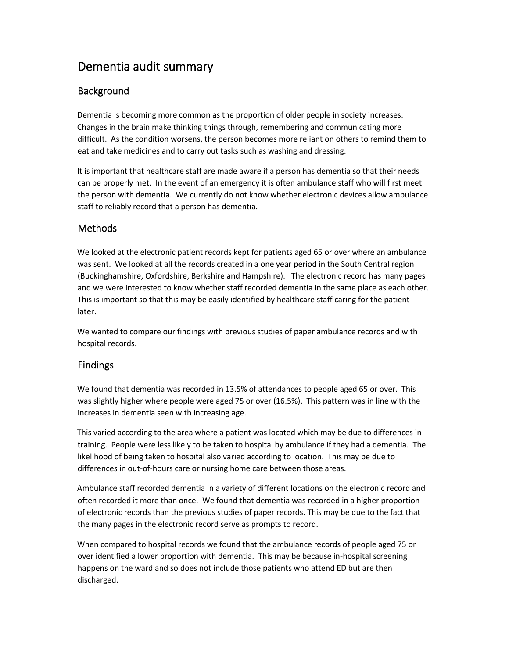# Dementia audit summary

## **Background**

Dementia is becoming more common as the proportion of older people in society increases. Changes in the brain make thinking things through, remembering and communicating more difficult. As the condition worsens, the person becomes more reliant on others to remind them to eat and take medicines and to carry out tasks such as washing and dressing.

It is important that healthcare staff are made aware if a person has dementia so that their needs can be properly met. In the event of an emergency it is often ambulance staff who will first meet the person with dementia. We currently do not know whether electronic devices allow ambulance staff to reliably record that a person has dementia.

# Methods

We looked at the electronic patient records kept for patients aged 65 or over where an ambulance was sent. We looked at all the records created in a one year period in the South Central region (Buckinghamshire, Oxfordshire, Berkshire and Hampshire). The electronic record has many pages and we were interested to know whether staff recorded dementia in the same place as each other. This is important so that this may be easily identified by healthcare staff caring for the patient later.

We wanted to compare our findings with previous studies of paper ambulance records and with hospital records.

# Findings

We found that dementia was recorded in 13.5% of attendances to people aged 65 or over. This was slightly higher where people were aged 75 or over (16.5%). This pattern was in line with the increases in dementia seen with increasing age.

This varied according to the area where a patient was located which may be due to differences in training. People were less likely to be taken to hospital by ambulance if they had a dementia. The likelihood of being taken to hospital also varied according to location. This may be due to differences in out-of-hours care or nursing home care between those areas.

Ambulance staff recorded dementia in a variety of different locations on the electronic record and often recorded it more than once. We found that dementia was recorded in a higher proportion of electronic records than the previous studies of paper records. This may be due to the fact that the many pages in the electronic record serve as prompts to record.

When compared to hospital records we found that the ambulance records of people aged 75 or over identified a lower proportion with dementia. This may be because in-hospital screening happens on the ward and so does not include those patients who attend ED but are then discharged.